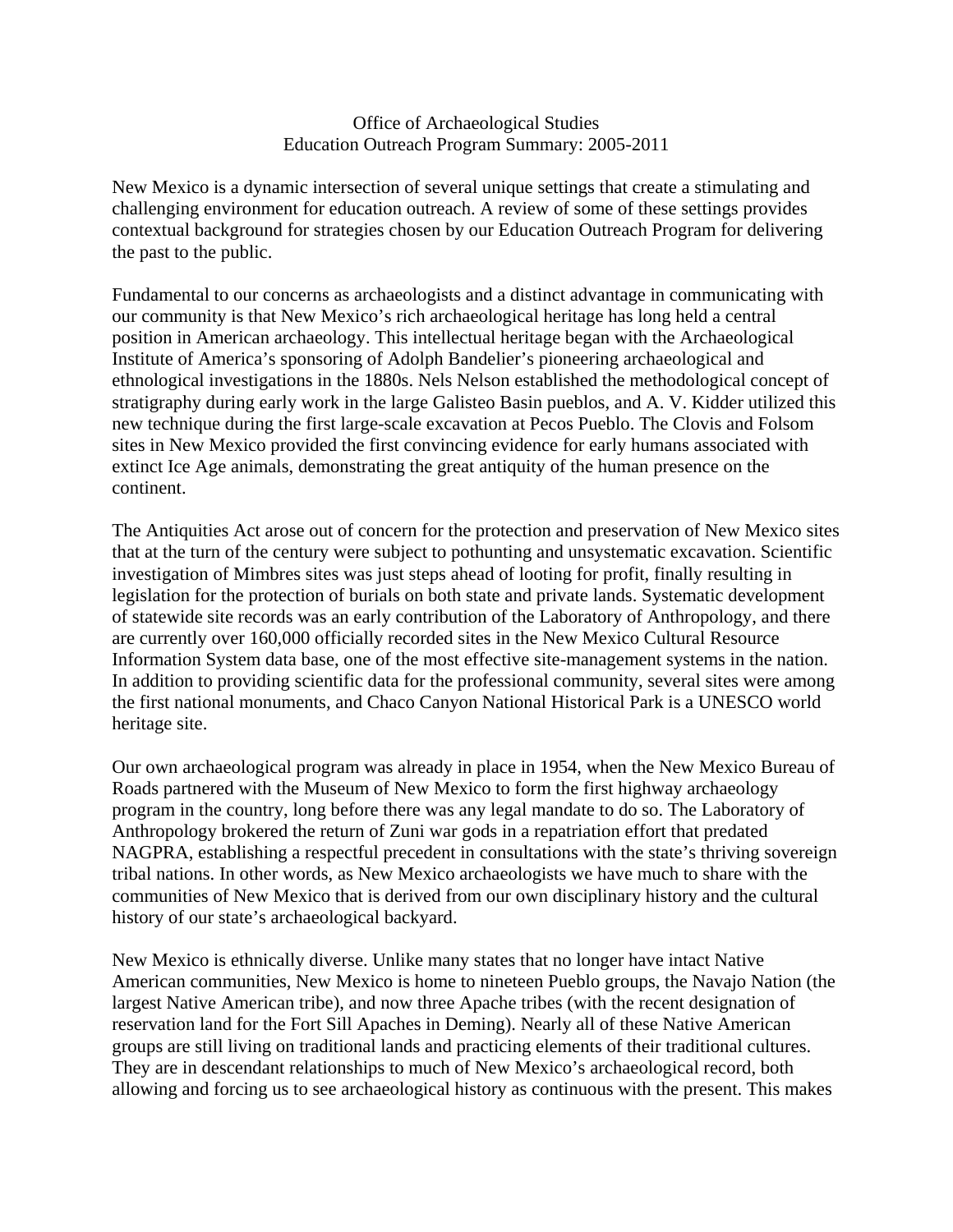#### Office of Archaeological Studies Education Outreach Program Summary: 2005-2011

New Mexico is a dynamic intersection of several unique settings that create a stimulating and challenging environment for education outreach. A review of some of these settings provides contextual background for strategies chosen by our Education Outreach Program for delivering the past to the public.

Fundamental to our concerns as archaeologists and a distinct advantage in communicating with our community is that New Mexico's rich archaeological heritage has long held a central position in American archaeology. This intellectual heritage began with the Archaeological Institute of America's sponsoring of Adolph Bandelier's pioneering archaeological and ethnological investigations in the 1880s. Nels Nelson established the methodological concept of stratigraphy during early work in the large Galisteo Basin pueblos, and A. V. Kidder utilized this new technique during the first large-scale excavation at Pecos Pueblo. The Clovis and Folsom sites in New Mexico provided the first convincing evidence for early humans associated with extinct Ice Age animals, demonstrating the great antiquity of the human presence on the continent.

The Antiquities Act arose out of concern for the protection and preservation of New Mexico sites that at the turn of the century were subject to pothunting and unsystematic excavation. Scientific investigation of Mimbres sites was just steps ahead of looting for profit, finally resulting in legislation for the protection of burials on both state and private lands. Systematic development of statewide site records was an early contribution of the Laboratory of Anthropology, and there are currently over 160,000 officially recorded sites in the New Mexico Cultural Resource Information System data base, one of the most effective site-management systems in the nation. In addition to providing scientific data for the professional community, several sites were among the first national monuments, and Chaco Canyon National Historical Park is a UNESCO world heritage site.

Our own archaeological program was already in place in 1954, when the New Mexico Bureau of Roads partnered with the Museum of New Mexico to form the first highway archaeology program in the country, long before there was any legal mandate to do so. The Laboratory of Anthropology brokered the return of Zuni war gods in a repatriation effort that predated NAGPRA, establishing a respectful precedent in consultations with the state's thriving sovereign tribal nations. In other words, as New Mexico archaeologists we have much to share with the communities of New Mexico that is derived from our own disciplinary history and the cultural history of our state's archaeological backyard.

New Mexico is ethnically diverse. Unlike many states that no longer have intact Native American communities, New Mexico is home to nineteen Pueblo groups, the Navajo Nation (the largest Native American tribe), and now three Apache tribes (with the recent designation of reservation land for the Fort Sill Apaches in Deming). Nearly all of these Native American groups are still living on traditional lands and practicing elements of their traditional cultures. They are in descendant relationships to much of New Mexico's archaeological record, both allowing and forcing us to see archaeological history as continuous with the present. This makes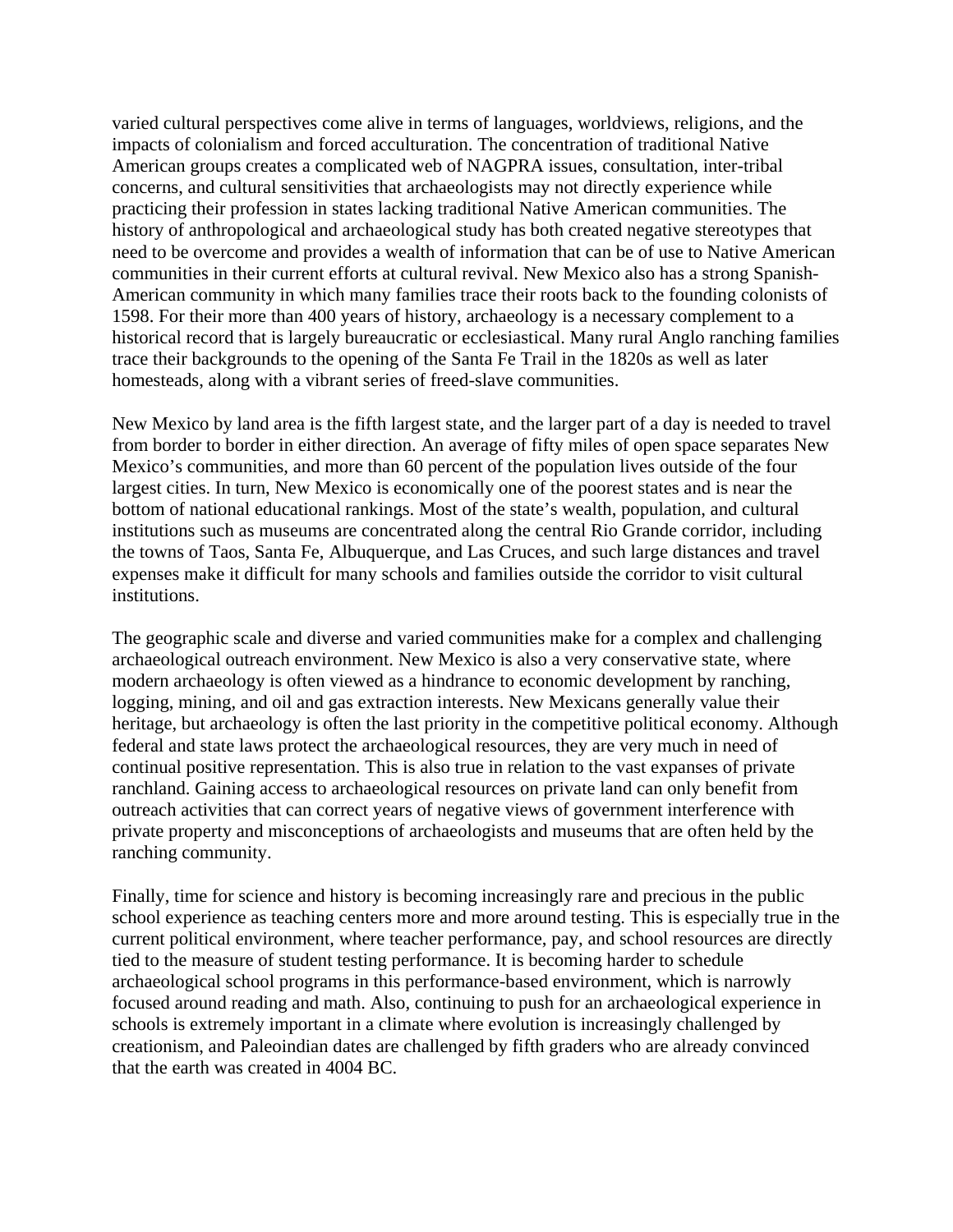varied cultural perspectives come alive in terms of languages, worldviews, religions, and the impacts of colonialism and forced acculturation. The concentration of traditional Native American groups creates a complicated web of NAGPRA issues, consultation, inter-tribal concerns, and cultural sensitivities that archaeologists may not directly experience while practicing their profession in states lacking traditional Native American communities. The history of anthropological and archaeological study has both created negative stereotypes that need to be overcome and provides a wealth of information that can be of use to Native American communities in their current efforts at cultural revival. New Mexico also has a strong Spanish-American community in which many families trace their roots back to the founding colonists of 1598. For their more than 400 years of history, archaeology is a necessary complement to a historical record that is largely bureaucratic or ecclesiastical. Many rural Anglo ranching families trace their backgrounds to the opening of the Santa Fe Trail in the 1820s as well as later homesteads, along with a vibrant series of freed-slave communities.

New Mexico by land area is the fifth largest state, and the larger part of a day is needed to travel from border to border in either direction. An average of fifty miles of open space separates New Mexico's communities, and more than 60 percent of the population lives outside of the four largest cities. In turn, New Mexico is economically one of the poorest states and is near the bottom of national educational rankings. Most of the state's wealth, population, and cultural institutions such as museums are concentrated along the central Rio Grande corridor, including the towns of Taos, Santa Fe, Albuquerque, and Las Cruces, and such large distances and travel expenses make it difficult for many schools and families outside the corridor to visit cultural institutions.

The geographic scale and diverse and varied communities make for a complex and challenging archaeological outreach environment. New Mexico is also a very conservative state, where modern archaeology is often viewed as a hindrance to economic development by ranching, logging, mining, and oil and gas extraction interests. New Mexicans generally value their heritage, but archaeology is often the last priority in the competitive political economy. Although federal and state laws protect the archaeological resources, they are very much in need of continual positive representation. This is also true in relation to the vast expanses of private ranchland. Gaining access to archaeological resources on private land can only benefit from outreach activities that can correct years of negative views of government interference with private property and misconceptions of archaeologists and museums that are often held by the ranching community.

Finally, time for science and history is becoming increasingly rare and precious in the public school experience as teaching centers more and more around testing. This is especially true in the current political environment, where teacher performance, pay, and school resources are directly tied to the measure of student testing performance. It is becoming harder to schedule archaeological school programs in this performance-based environment, which is narrowly focused around reading and math. Also, continuing to push for an archaeological experience in schools is extremely important in a climate where evolution is increasingly challenged by creationism, and Paleoindian dates are challenged by fifth graders who are already convinced that the earth was created in 4004 BC.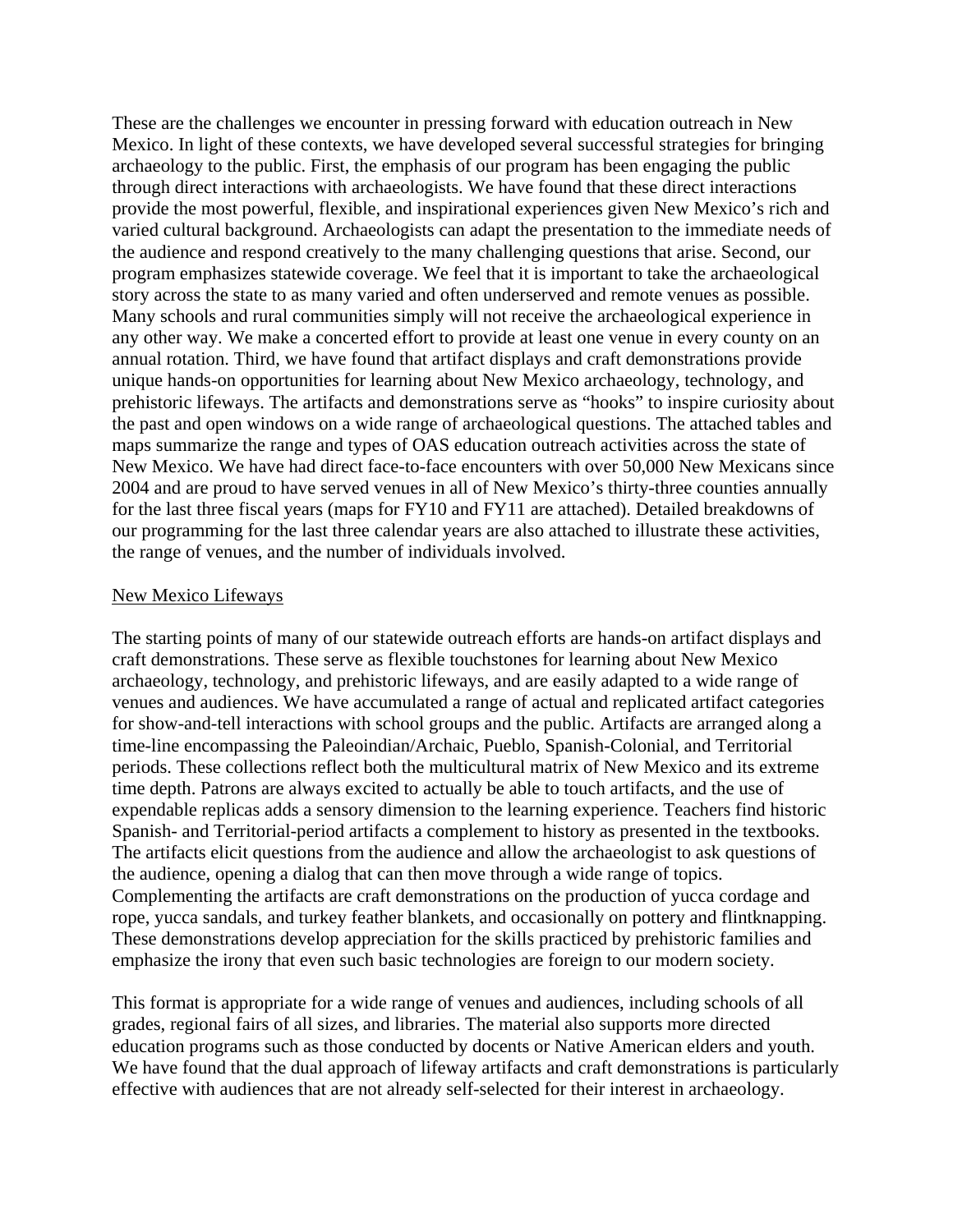These are the challenges we encounter in pressing forward with education outreach in New Mexico. In light of these contexts, we have developed several successful strategies for bringing archaeology to the public. First, the emphasis of our program has been engaging the public through direct interactions with archaeologists. We have found that these direct interactions provide the most powerful, flexible, and inspirational experiences given New Mexico's rich and varied cultural background. Archaeologists can adapt the presentation to the immediate needs of the audience and respond creatively to the many challenging questions that arise. Second, our program emphasizes statewide coverage. We feel that it is important to take the archaeological story across the state to as many varied and often underserved and remote venues as possible. Many schools and rural communities simply will not receive the archaeological experience in any other way. We make a concerted effort to provide at least one venue in every county on an annual rotation. Third, we have found that artifact displays and craft demonstrations provide unique hands-on opportunities for learning about New Mexico archaeology, technology, and prehistoric lifeways. The artifacts and demonstrations serve as "hooks" to inspire curiosity about the past and open windows on a wide range of archaeological questions. The attached tables and maps summarize the range and types of OAS education outreach activities across the state of New Mexico. We have had direct face-to-face encounters with over 50,000 New Mexicans since 2004 and are proud to have served venues in all of New Mexico's thirty-three counties annually for the last three fiscal years (maps for FY10 and FY11 are attached). Detailed breakdowns of our programming for the last three calendar years are also attached to illustrate these activities, the range of venues, and the number of individuals involved.

#### New Mexico Lifeways

The starting points of many of our statewide outreach efforts are hands-on artifact displays and craft demonstrations. These serve as flexible touchstones for learning about New Mexico archaeology, technology, and prehistoric lifeways, and are easily adapted to a wide range of venues and audiences. We have accumulated a range of actual and replicated artifact categories for show-and-tell interactions with school groups and the public. Artifacts are arranged along a time-line encompassing the Paleoindian/Archaic, Pueblo, Spanish-Colonial, and Territorial periods. These collections reflect both the multicultural matrix of New Mexico and its extreme time depth. Patrons are always excited to actually be able to touch artifacts, and the use of expendable replicas adds a sensory dimension to the learning experience. Teachers find historic Spanish- and Territorial-period artifacts a complement to history as presented in the textbooks. The artifacts elicit questions from the audience and allow the archaeologist to ask questions of the audience, opening a dialog that can then move through a wide range of topics. Complementing the artifacts are craft demonstrations on the production of yucca cordage and rope, yucca sandals, and turkey feather blankets, and occasionally on pottery and flintknapping. These demonstrations develop appreciation for the skills practiced by prehistoric families and emphasize the irony that even such basic technologies are foreign to our modern society.

This format is appropriate for a wide range of venues and audiences, including schools of all grades, regional fairs of all sizes, and libraries. The material also supports more directed education programs such as those conducted by docents or Native American elders and youth. We have found that the dual approach of lifeway artifacts and craft demonstrations is particularly effective with audiences that are not already self-selected for their interest in archaeology.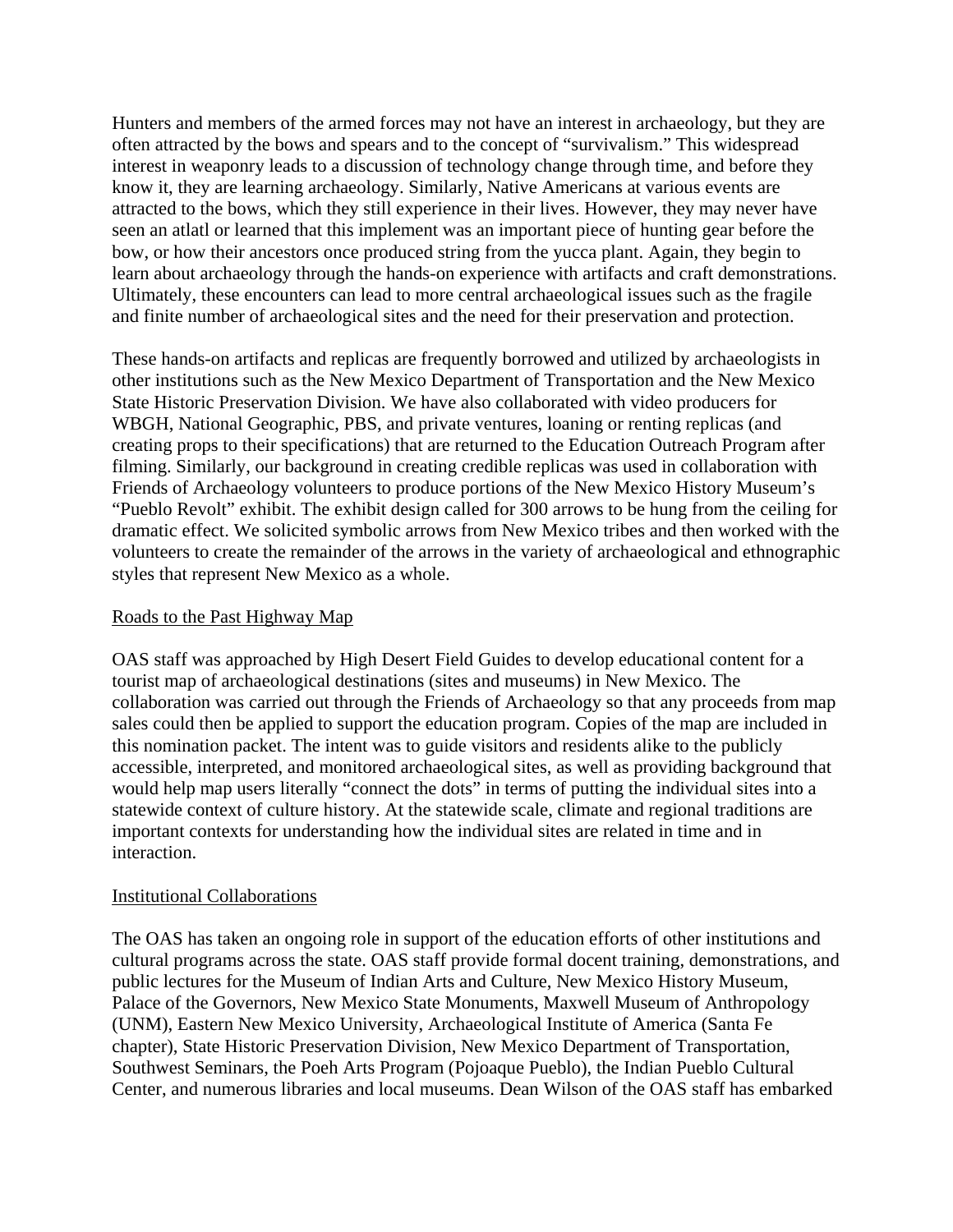Hunters and members of the armed forces may not have an interest in archaeology, but they are often attracted by the bows and spears and to the concept of "survivalism." This widespread interest in weaponry leads to a discussion of technology change through time, and before they know it, they are learning archaeology. Similarly, Native Americans at various events are attracted to the bows, which they still experience in their lives. However, they may never have seen an atlatl or learned that this implement was an important piece of hunting gear before the bow, or how their ancestors once produced string from the yucca plant. Again, they begin to learn about archaeology through the hands-on experience with artifacts and craft demonstrations. Ultimately, these encounters can lead to more central archaeological issues such as the fragile and finite number of archaeological sites and the need for their preservation and protection.

These hands-on artifacts and replicas are frequently borrowed and utilized by archaeologists in other institutions such as the New Mexico Department of Transportation and the New Mexico State Historic Preservation Division. We have also collaborated with video producers for WBGH, National Geographic, PBS, and private ventures, loaning or renting replicas (and creating props to their specifications) that are returned to the Education Outreach Program after filming. Similarly, our background in creating credible replicas was used in collaboration with Friends of Archaeology volunteers to produce portions of the New Mexico History Museum's "Pueblo Revolt" exhibit. The exhibit design called for 300 arrows to be hung from the ceiling for dramatic effect. We solicited symbolic arrows from New Mexico tribes and then worked with the volunteers to create the remainder of the arrows in the variety of archaeological and ethnographic styles that represent New Mexico as a whole.

### Roads to the Past Highway Map

OAS staff was approached by High Desert Field Guides to develop educational content for a tourist map of archaeological destinations (sites and museums) in New Mexico. The collaboration was carried out through the Friends of Archaeology so that any proceeds from map sales could then be applied to support the education program. Copies of the map are included in this nomination packet. The intent was to guide visitors and residents alike to the publicly accessible, interpreted, and monitored archaeological sites, as well as providing background that would help map users literally "connect the dots" in terms of putting the individual sites into a statewide context of culture history. At the statewide scale, climate and regional traditions are important contexts for understanding how the individual sites are related in time and in interaction.

### Institutional Collaborations

The OAS has taken an ongoing role in support of the education efforts of other institutions and cultural programs across the state. OAS staff provide formal docent training, demonstrations, and public lectures for the Museum of Indian Arts and Culture, New Mexico History Museum, Palace of the Governors, New Mexico State Monuments, Maxwell Museum of Anthropology (UNM), Eastern New Mexico University, Archaeological Institute of America (Santa Fe chapter), State Historic Preservation Division, New Mexico Department of Transportation, Southwest Seminars, the Poeh Arts Program (Pojoaque Pueblo), the Indian Pueblo Cultural Center, and numerous libraries and local museums. Dean Wilson of the OAS staff has embarked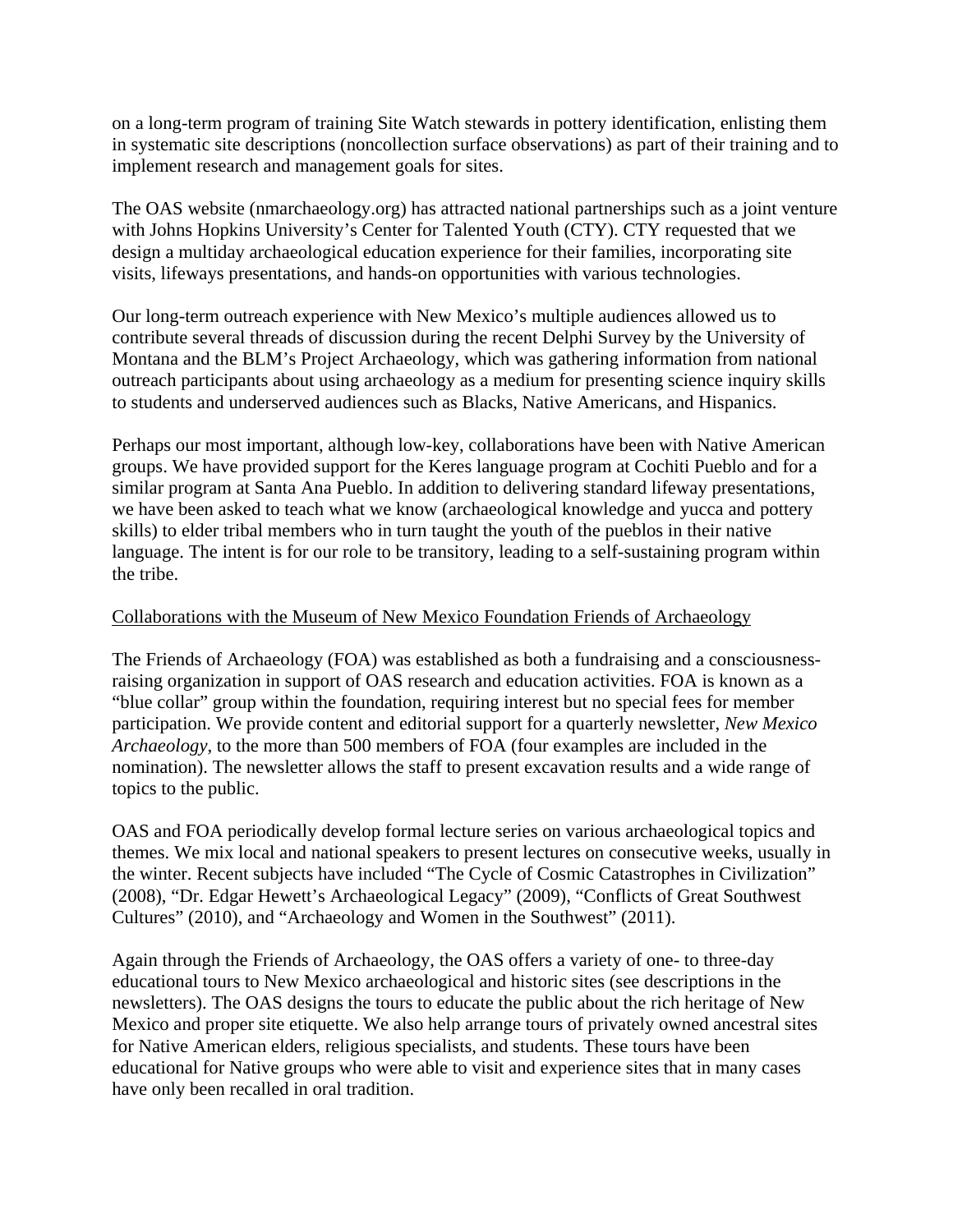on a long-term program of training Site Watch stewards in pottery identification, enlisting them in systematic site descriptions (noncollection surface observations) as part of their training and to implement research and management goals for sites.

The OAS website (nmarchaeology.org) has attracted national partnerships such as a joint venture with Johns Hopkins University's Center for Talented Youth (CTY). CTY requested that we design a multiday archaeological education experience for their families, incorporating site visits, lifeways presentations, and hands-on opportunities with various technologies.

Our long-term outreach experience with New Mexico's multiple audiences allowed us to contribute several threads of discussion during the recent Delphi Survey by the University of Montana and the BLM's Project Archaeology, which was gathering information from national outreach participants about using archaeology as a medium for presenting science inquiry skills to students and underserved audiences such as Blacks, Native Americans, and Hispanics.

Perhaps our most important, although low-key, collaborations have been with Native American groups. We have provided support for the Keres language program at Cochiti Pueblo and for a similar program at Santa Ana Pueblo. In addition to delivering standard lifeway presentations, we have been asked to teach what we know (archaeological knowledge and yucca and pottery skills) to elder tribal members who in turn taught the youth of the pueblos in their native language. The intent is for our role to be transitory, leading to a self-sustaining program within the tribe.

### Collaborations with the Museum of New Mexico Foundation Friends of Archaeology

The Friends of Archaeology (FOA) was established as both a fundraising and a consciousnessraising organization in support of OAS research and education activities. FOA is known as a "blue collar" group within the foundation, requiring interest but no special fees for member participation. We provide content and editorial support for a quarterly newsletter, *New Mexico Archaeology*, to the more than 500 members of FOA (four examples are included in the nomination). The newsletter allows the staff to present excavation results and a wide range of topics to the public.

OAS and FOA periodically develop formal lecture series on various archaeological topics and themes. We mix local and national speakers to present lectures on consecutive weeks, usually in the winter. Recent subjects have included "The Cycle of Cosmic Catastrophes in Civilization" (2008), "Dr. Edgar Hewett's Archaeological Legacy" (2009), "Conflicts of Great Southwest Cultures" (2010), and "Archaeology and Women in the Southwest" (2011).

Again through the Friends of Archaeology, the OAS offers a variety of one- to three-day educational tours to New Mexico archaeological and historic sites (see descriptions in the newsletters). The OAS designs the tours to educate the public about the rich heritage of New Mexico and proper site etiquette. We also help arrange tours of privately owned ancestral sites for Native American elders, religious specialists, and students. These tours have been educational for Native groups who were able to visit and experience sites that in many cases have only been recalled in oral tradition.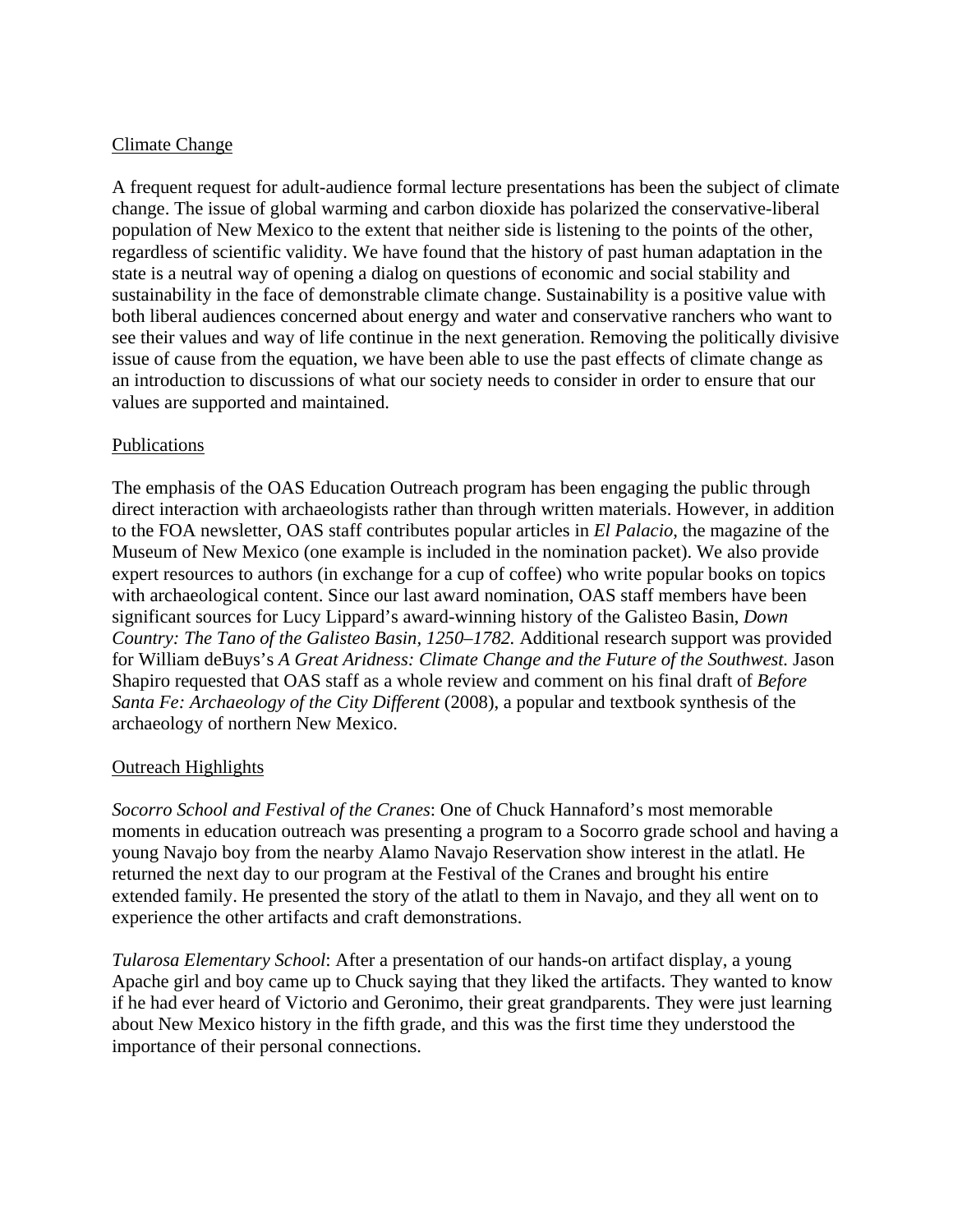### Climate Change

A frequent request for adult-audience formal lecture presentations has been the subject of climate change. The issue of global warming and carbon dioxide has polarized the conservative-liberal population of New Mexico to the extent that neither side is listening to the points of the other, regardless of scientific validity. We have found that the history of past human adaptation in the state is a neutral way of opening a dialog on questions of economic and social stability and sustainability in the face of demonstrable climate change. Sustainability is a positive value with both liberal audiences concerned about energy and water and conservative ranchers who want to see their values and way of life continue in the next generation. Removing the politically divisive issue of cause from the equation, we have been able to use the past effects of climate change as an introduction to discussions of what our society needs to consider in order to ensure that our values are supported and maintained.

## Publications

The emphasis of the OAS Education Outreach program has been engaging the public through direct interaction with archaeologists rather than through written materials. However, in addition to the FOA newsletter, OAS staff contributes popular articles in *El Palacio*, the magazine of the Museum of New Mexico (one example is included in the nomination packet). We also provide expert resources to authors (in exchange for a cup of coffee) who write popular books on topics with archaeological content. Since our last award nomination, OAS staff members have been significant sources for Lucy Lippard's award-winning history of the Galisteo Basin, *Down Country: The Tano of the Galisteo Basin, 1250–1782.* Additional research support was provided for William deBuys's *A Great Aridness: Climate Change and the Future of the Southwest.* Jason Shapiro requested that OAS staff as a whole review and comment on his final draft of *Before Santa Fe: Archaeology of the City Different* (2008), a popular and textbook synthesis of the archaeology of northern New Mexico.

# Outreach Highlights

*Socorro School and Festival of the Cranes*: One of Chuck Hannaford's most memorable moments in education outreach was presenting a program to a Socorro grade school and having a young Navajo boy from the nearby Alamo Navajo Reservation show interest in the atlatl. He returned the next day to our program at the Festival of the Cranes and brought his entire extended family. He presented the story of the atlatl to them in Navajo, and they all went on to experience the other artifacts and craft demonstrations.

*Tularosa Elementary School*: After a presentation of our hands-on artifact display, a young Apache girl and boy came up to Chuck saying that they liked the artifacts. They wanted to know if he had ever heard of Victorio and Geronimo, their great grandparents. They were just learning about New Mexico history in the fifth grade, and this was the first time they understood the importance of their personal connections.